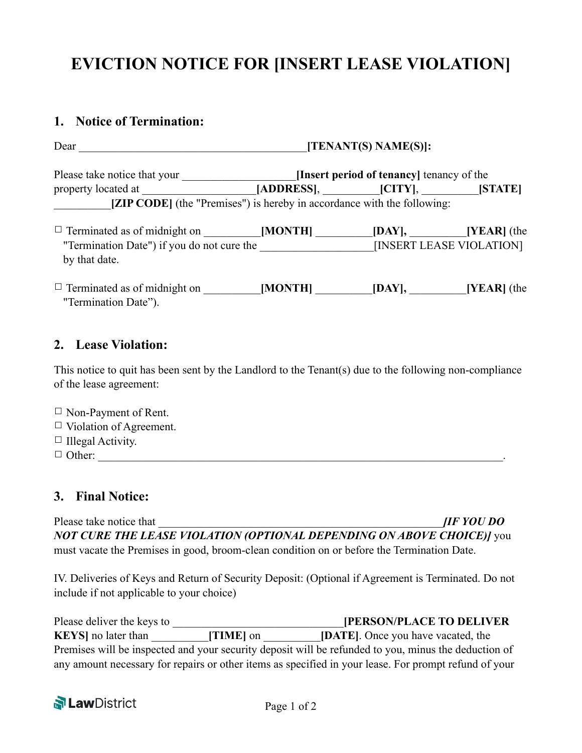# **EVICTION NOTICE FOR [INSERT LEASE VIOLATION]**

### **1. Notice of Termination:**

|                                                                                                                                   | [TENANT(S) NAME(S)]:                                                                             |  |  |
|-----------------------------------------------------------------------------------------------------------------------------------|--------------------------------------------------------------------------------------------------|--|--|
|                                                                                                                                   | Please take notice that your __________________________[Insert period of tenancy] tenancy of the |  |  |
| [ZIP CODE] (the "Premises") is hereby in accordance with the following:                                                           |                                                                                                  |  |  |
| "Termination Date") if you do not cure the [INSERT LEASE VIOLATION]                                                               |                                                                                                  |  |  |
| by that date.                                                                                                                     |                                                                                                  |  |  |
| $\Box$ Terminated as of midnight on $\Box$ [MONTH] $\Box$ [DAY], [YEAR] (the<br>"Termination Date").                              |                                                                                                  |  |  |
| 2. Lease Violation:                                                                                                               |                                                                                                  |  |  |
| This notice to quit has been sent by the Landlord to the Tenant(s) due to the following non-compliance<br>of the lease agreement: |                                                                                                  |  |  |
| $\Box$ Non-Payment of Rent.                                                                                                       |                                                                                                  |  |  |

- $\Box$  Violation of Agreement.
- $\Box$  Illegal Activity.
- $\Box$  Other:

### **3. Final Notice:**

Please take notice that  $\Box$ *NOT CURE THE LEASE VIOLATION (OPTIONAL DEPENDING ON ABOVE CHOICE)]* you must vacate the Premises in good, broom-clean condition on or before the Termination Date.

IV. Deliveries of Keys and Return of Security Deposit: (Optional if Agreement is Terminated. Do not include if not applicable to your choice)

| Please deliver the keys to |           | <b>[PERSON/PLACE TO DELIVER</b>                                                                       |
|----------------------------|-----------|-------------------------------------------------------------------------------------------------------|
| <b>KEYS</b> no later than  | [TIME] on | <b>[DATE]</b> . Once you have vacated, the                                                            |
|                            |           | Premises will be inspected and your security deposit will be refunded to you, minus the deduction of  |
|                            |           | any amount necessary for repairs or other items as specified in your lease. For prompt refund of your |